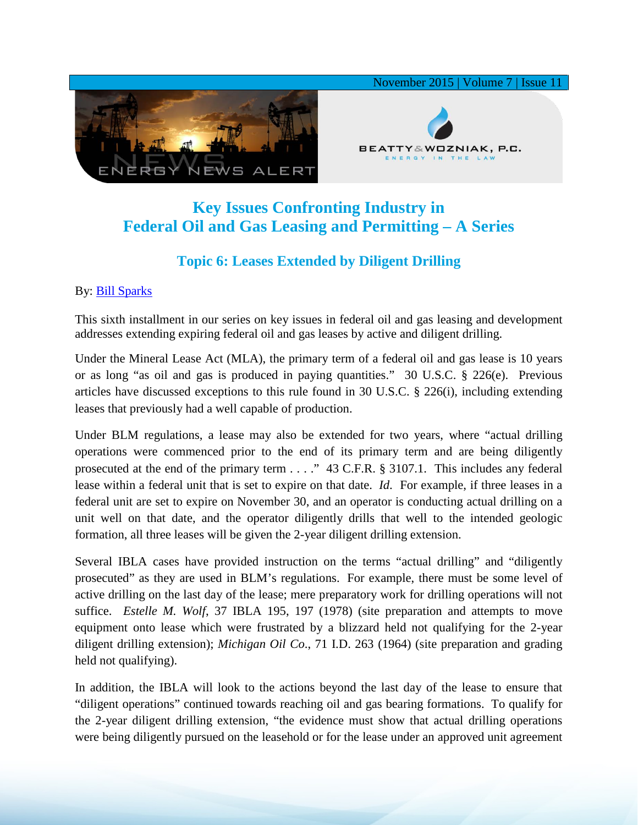

## **Key Issues Confronting Industry in Federal Oil and Gas Leasing and Permitting – A Series**

## **Topic 6: Leases Extended by Diligent Drilling**

## By: [Bill Sparks](http://www.bwenergylaw.com/#!william-sparks/c1ynl)

This sixth installment in our series on key issues in federal oil and gas leasing and development addresses extending expiring federal oil and gas leases by active and diligent drilling.

Under the Mineral Lease Act (MLA), the primary term of a federal oil and gas lease is 10 years or as long "as oil and gas is produced in paying quantities." 30 U.S.C. § 226(e). Previous articles have discussed exceptions to this rule found in 30 U.S.C. § 226(i), including extending leases that previously had a well capable of production.

Under BLM regulations, a lease may also be extended for two years, where "actual drilling operations were commenced prior to the end of its primary term and are being diligently prosecuted at the end of the primary term . . . ." 43 C.F.R. § 3107.1. This includes any federal lease within a federal unit that is set to expire on that date. *Id*. For example, if three leases in a federal unit are set to expire on November 30, and an operator is conducting actual drilling on a unit well on that date, and the operator diligently drills that well to the intended geologic formation, all three leases will be given the 2-year diligent drilling extension.

Several IBLA cases have provided instruction on the terms "actual drilling" and "diligently prosecuted" as they are used in BLM's regulations. For example, there must be some level of active drilling on the last day of the lease; mere preparatory work for drilling operations will not suffice. *Estelle M. Wolf*, 37 IBLA 195, 197 (1978) (site preparation and attempts to move equipment onto lease which were frustrated by a blizzard held not qualifying for the 2-year diligent drilling extension); *Michigan Oil Co*., 71 I.D. 263 (1964) (site preparation and grading held not qualifying).

In addition, the IBLA will look to the actions beyond the last day of the lease to ensure that "diligent operations" continued towards reaching oil and gas bearing formations. To qualify for the 2-year diligent drilling extension, "the evidence must show that actual drilling operations were being diligently pursued on the leasehold or for the lease under an approved unit agreement